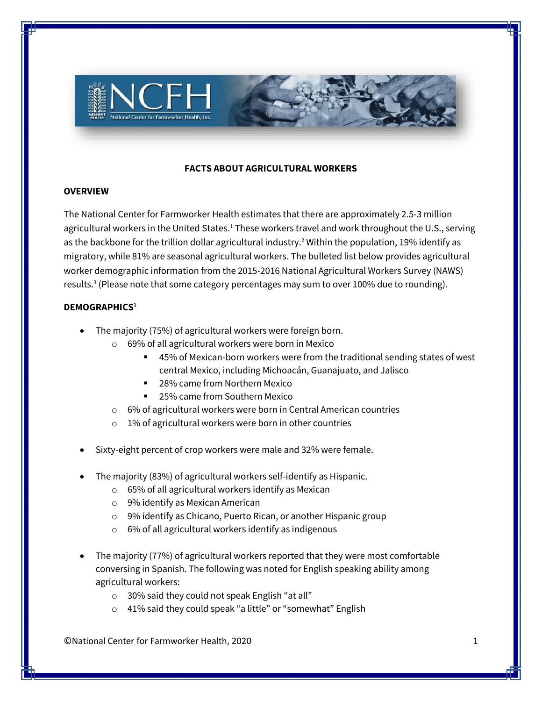

# **FACTS ABOUT AGRICULTURAL WORKERS**

### **OVERVIEW**

The National Center for Farmworker Health estimates that there are approximately 2.5-3 million agricultural workers in the United States.<sup>1</sup> These workers travel and work throughout the U.S., serving as the backbone for the trillion dollar agricultural industry.<sup>2</sup> Within the population, 19% identify as migratory, while 81% are seasonal agricultural workers. The bulleted list below provides agricultural worker demographic information from the 2015-2016 National Agricultural Workers Survey (NAWS) results.<sup>3</sup> (Please note that some category percentages may sum to over 100% due to rounding).

## **DEMOGRAPHICS**<sup>3</sup>

- The majority (75%) of agricultural workers were foreign born.
	- o 69% of all agricultural workers were born in Mexico
		- 45% of Mexican-born workers were from the traditional sending states of west central Mexico, including Michoacán, Guanajuato, and Jalisco
		- 28% came from Northern Mexico
		- 25% came from Southern Mexico
	- o 6% of agricultural workers were born in Central American countries
	- o 1% of agricultural workers were born in other countries
- Sixty-eight percent of crop workers were male and 32% were female.
- The majority (83%) of agricultural workers self-identify as Hispanic.
	- o 65% of all agricultural workers identify as Mexican
	- o 9% identify as Mexican American
	- o 9% identify as Chicano, Puerto Rican, or another Hispanic group
	- o 6% of all agricultural workers identify as indigenous
- The majority (77%) of agricultural workers reported that they were most comfortable conversing in Spanish. The following was noted for English speaking ability among agricultural workers:
	- o 30% said they could not speak English "at all"
	- o 41% said they could speak "a little" or "somewhat" English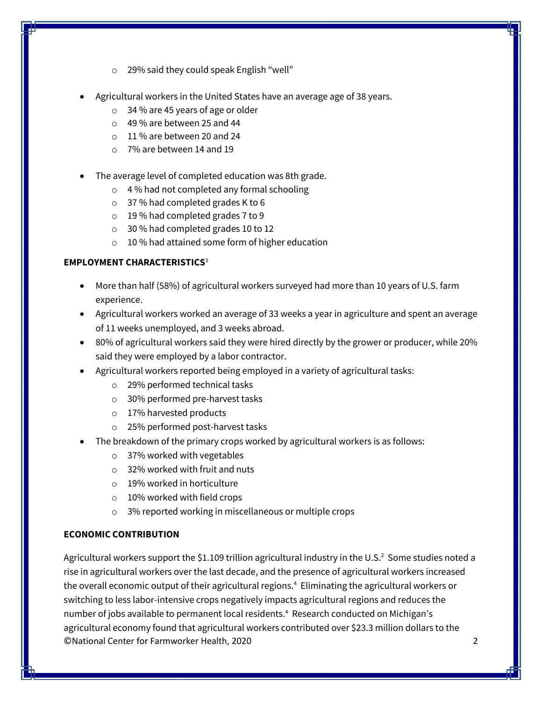- o 29% said they could speak English "well"
- Agricultural workers in the United States have an average age of 38 years.
	- o 34 % are 45 years of age or older
	- $\circ$  49% are between 25 and 44
	- $\circ$  11% are between 20 and 24
	- o 7% are between 14 and 19
- The average level of completed education was 8th grade.
	- o 4 % had not completed any formal schooling
	- o 37 % had completed grades K to 6
	- o 19 % had completed grades 7 to 9
	- o 30 % had completed grades 10 to 12
	- o 10 % had attained some form of higher education

## **EMPLOYMENT CHARACTERISTICS**<sup>3</sup>

- More than half (58%) of agricultural workers surveyed had more than 10 years of U.S. farm experience.
- Agricultural workers worked an average of 33 weeks a year in agriculture and spent an average of 11 weeks unemployed, and 3 weeks abroad.
- 80% of agricultural workers said they were hired directly by the grower or producer, while 20% said they were employed by a labor contractor.
- Agricultural workers reported being employed in a variety of agricultural tasks:
	- o 29% performed technical tasks
	- o 30% performed pre-harvest tasks
	- o 17% harvested products
	- o 25% performed post-harvest tasks
- The breakdown of the primary crops worked by agricultural workers is as follows:
	- o 37% worked with vegetables
	- $\circ$  32% worked with fruit and nuts
	- o 19% worked in horticulture
	- o 10% worked with field crops
	- o 3% reported working in miscellaneous or multiple crops

### **ECONOMIC CONTRIBUTION**

©National Center for Farmworker Health, 2020 2 Agricultural workers support the \$1.109 trillion agricultural industry in the U.S.<sup>2</sup> Some studies noted a rise in agricultural workers over the last decade, and the presence of agricultural workers increased the overall economic output of their agricultural regions.<sup>4</sup> Eliminating the agricultural workers or switching to less labor-intensive crops negatively impacts agricultural regions and reduces the number of jobs available to permanent local residents.<sup>4</sup> Research conducted on Michigan's agricultural economy found that agricultural workers contributed over \$23.3 million dollars to the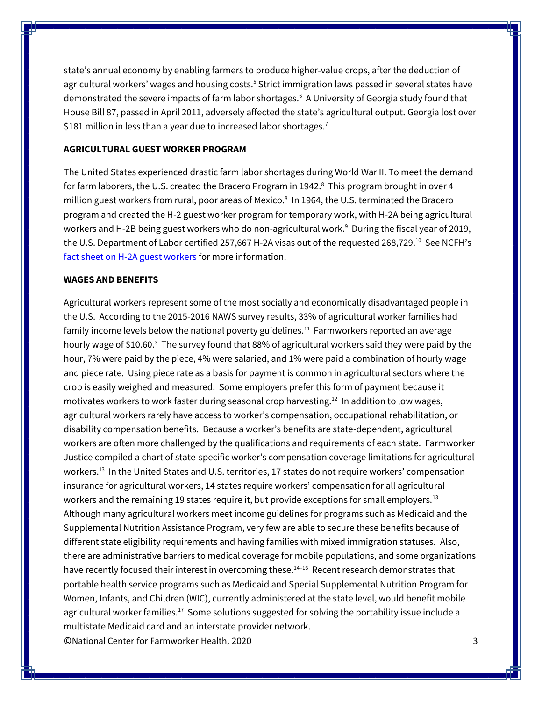state's annual economy by enabling farmers to produce higher-value crops, after the deduction of agricultural workers' wages and housing costs.<sup>5</sup> Strict immigration laws passed in several states have demonstrated the severe impacts of farm labor shortages.<sup>6</sup> A University of Georgia study found that House Bill 87, passed in April 2011, adversely affected the state's agricultural output. Georgia lost over \$181 million in less than a year due to increased labor shortages.<sup>7</sup>

#### **AGRICULTURAL GUEST WORKER PROGRAM**

The United States experienced drastic farm labor shortages during World War II. To meet the demand for farm laborers, the U.S. created the Bracero Program in 1942.<sup>8</sup> This program brought in over 4 million guest workers from rural, poor areas of Mexico. 8 In 1964, the U.S. terminated the Bracero program and created the H-2 guest worker program for temporary work, with H-2A being agricultural workers and H-2B being guest workers who do non-agricultural work.<sup>9</sup> During the fiscal year of 2019, the U.S. Department of Labor certified 257,667 H-2A visas out of the requested 268,729. <sup>10</sup> See NCFH's [fact sheet on H-2A guest workers](http://www.ncfh.org/h-2a-guest-workers.html) for more information.

### **WAGES AND BENEFITS**

©National Center for Farmworker Health, 2020 3 Agricultural workers represent some of the most socially and economically disadvantaged people in the U.S. According to the 2015-2016 NAWS survey results, 33% of agricultural worker families had family income levels below the national poverty guidelines.<sup>11</sup> Farmworkers reported an average hourly wage of \$10.60.<sup>3</sup> The survey found that 88% of agricultural workers said they were paid by the hour, 7% were paid by the piece, 4% were salaried, and 1% were paid a combination of hourly wage and piece rate. Using piece rate as a basis for payment is common in agricultural sectors where the crop is easily weighed and measured. Some employers prefer this form of payment because it motivates workers to work faster during seasonal crop harvesting.<sup>12</sup> In addition to low wages, agricultural workers rarely have access to worker's compensation, occupational rehabilitation, or disability compensation benefits. Because a worker's benefits are state-dependent, agricultural workers are often more challenged by the qualifications and requirements of each state. Farmworker Justice compiled a chart of state-specific worker's compensation coverage limitations for agricultural workers. <sup>13</sup> In the United States and U.S. territories, 17 states do not require workers' compensation insurance for agricultural workers, 14 states require workers' compensation for all agricultural workers and the remaining 19 states require it, but provide exceptions for small employers.<sup>13</sup> Although many agricultural workers meet income guidelines for programs such as Medicaid and the Supplemental Nutrition Assistance Program, very few are able to secure these benefits because of different state eligibility requirements and having families with mixed immigration statuses. Also, there are administrative barriers to medical coverage for mobile populations, and some organizations have recently focused their interest in overcoming these.<sup>14-16</sup> Recent research demonstrates that portable health service programs such as Medicaid and Special Supplemental Nutrition Program for Women, Infants, and Children (WIC), currently administered at the state level, would benefit mobile agricultural worker families.<sup>17</sup> Some solutions suggested for solving the portability issue include a multistate Medicaid card and an interstate provider network.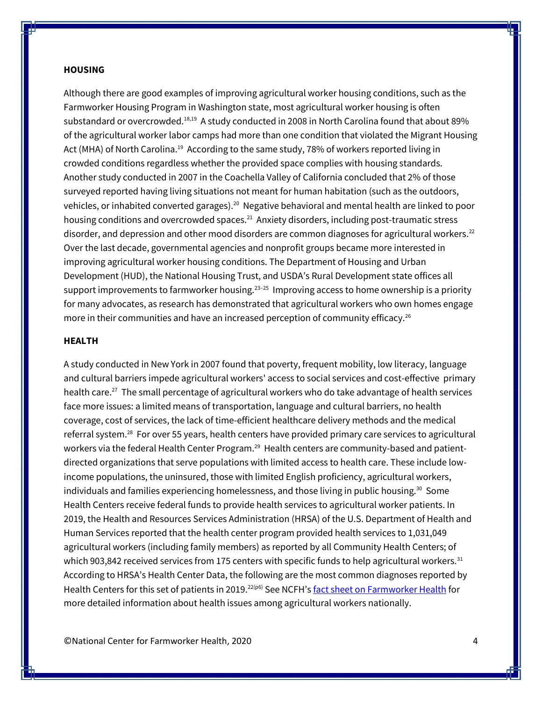#### **HOUSING**

Although there are good examples of improving agricultural worker housing conditions, such as the Farmworker Housing Program in Washington state, most agricultural worker housing is often substandard or overcrowded.<sup>18,19</sup> A study conducted in 2008 in North Carolina found that about 89% of the agricultural worker labor camps had more than one condition that violated the Migrant Housing Act (MHA) of North Carolina.<sup>19</sup> According to the same study, 78% of workers reported living in crowded conditions regardless whether the provided space complies with housing standards. Another study conducted in 2007 in the Coachella Valley of California concluded that 2% of those surveyed reported having living situations not meant for human habitation (such as the outdoors, vehicles, or inhabited converted garages). $^{20}$  Negative behavioral and mental health are linked to poor housing conditions and overcrowded spaces.<sup>21</sup> Anxiety disorders, including post-traumatic stress disorder, and depression and other mood disorders are common diagnoses for agricultural workers.<sup>22</sup> Over the last decade, governmental agencies and nonprofit groups became more interested in improving agricultural worker housing conditions. The Department of Housing and Urban Development (HUD), the National Housing Trust, and USDA's Rural Development state offices all support improvements to farmworker housing.<sup>23-25</sup> Improving access to home ownership is a priority for many advocates, as research has demonstrated that agricultural workers who own homes engage more in their communities and have an increased perception of community efficacy.<sup>26</sup>

#### **HEALTH**

A study conducted in New York in 2007 found that poverty, frequent mobility, low literacy, language and cultural barriers impede agricultural workers' access to social services and cost-effective primary health care.<sup>27</sup> The small percentage of agricultural workers who do take advantage of health services face more issues: a limited means of transportation, language and cultural barriers, no health coverage, cost of services, the lack of time-efficient healthcare delivery methods and the medical referral system.<sup>28</sup> For over 55 years, health centers have provided primary care services to agricultural workers via the federal Health Center Program. <sup>29</sup> Health centers are community-based and patientdirected organizations that serve populations with limited access to health care. These include lowincome populations, the uninsured, those with limited English proficiency, agricultural workers, individuals and families experiencing homelessness, and those living in public housing. $30$  Some Health Centers receive federal funds to provide health services to agricultural worker patients. In 2019, the Health and Resources Services Administration (HRSA) of the U.S. Department of Health and Human Services reported that the health center program provided health services to 1,031,049 agricultural workers (including family members) as reported by all Community Health Centers; of which 903,842 received services from 175 centers with specific funds to help agricultural workers. $31$ According to HRSA's Health Center Data, the following are the most common diagnoses reported by Health Centers for this set of patients in 2019.<sup>22(p6)</sup> See NCFH's [fact sheet on Farmworker Health](http://www.ncfh.org/uploads/3/8/6/8/38685499/fs-nawshealthfactsheet_jbs_approved.pdf) for more detailed information about health issues among agricultural workers nationally.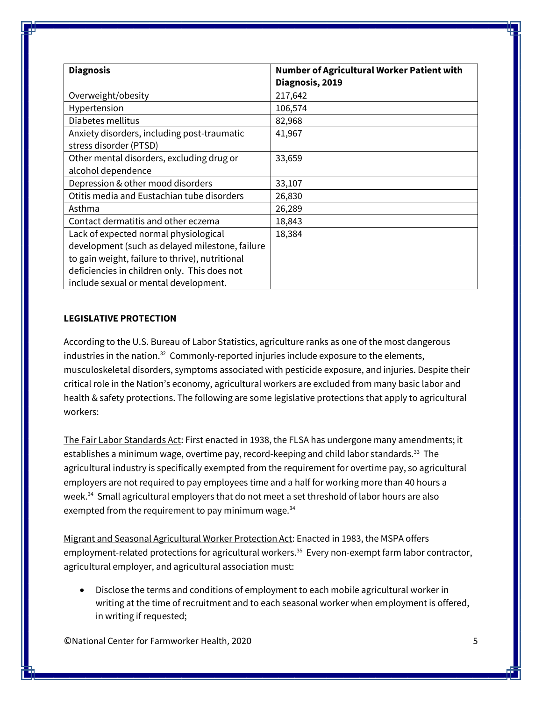| <b>Diagnosis</b>                                | Number of Agricultural Worker Patient with |
|-------------------------------------------------|--------------------------------------------|
|                                                 | Diagnosis, 2019                            |
| Overweight/obesity                              | 217,642                                    |
| Hypertension                                    | 106,574                                    |
| Diabetes mellitus                               | 82,968                                     |
| Anxiety disorders, including post-traumatic     | 41,967                                     |
| stress disorder (PTSD)                          |                                            |
| Other mental disorders, excluding drug or       | 33,659                                     |
| alcohol dependence                              |                                            |
| Depression & other mood disorders               | 33,107                                     |
| Otitis media and Eustachian tube disorders      | 26,830                                     |
| Asthma                                          | 26,289                                     |
| Contact dermatitis and other eczema             | 18,843                                     |
| Lack of expected normal physiological           | 18,384                                     |
| development (such as delayed milestone, failure |                                            |
| to gain weight, failure to thrive), nutritional |                                            |
| deficiencies in children only. This does not    |                                            |
| include sexual or mental development.           |                                            |

## **LEGISLATIVE PROTECTION**

According to the U.S. Bureau of Labor Statistics, agriculture ranks as one of the most dangerous industries in the nation.<sup>32</sup> Commonly-reported injuries include exposure to the elements, musculoskeletal disorders, symptoms associated with pesticide exposure, and injuries. Despite their critical role in the Nation's economy, agricultural workers are excluded from many basic labor and health & safety protections. The following are some legislative protections that apply to agricultural workers:

The Fair Labor Standards Act: First enacted in 1938, the FLSA has undergone many amendments; it establishes a minimum wage, overtime pay, record-keeping and child labor standards.<sup>33</sup> The agricultural industry is specifically exempted from the requirement for overtime pay, so agricultural employers are not required to pay employees time and a half for working more than 40 hours a week.<sup>34</sup> Small agricultural employers that do not meet a set threshold of labor hours are also exempted from the requirement to pay minimum wage.<sup>34</sup>

Migrant and Seasonal Agricultural Worker Protection Act: Enacted in 1983, the MSPA offers employment-related protections for agricultural workers.<sup>35</sup> Every non-exempt farm labor contractor, agricultural employer, and agricultural association must:

• Disclose the terms and conditions of employment to each mobile agricultural worker in writing at the time of recruitment and to each seasonal worker when employment is offered, in writing if requested;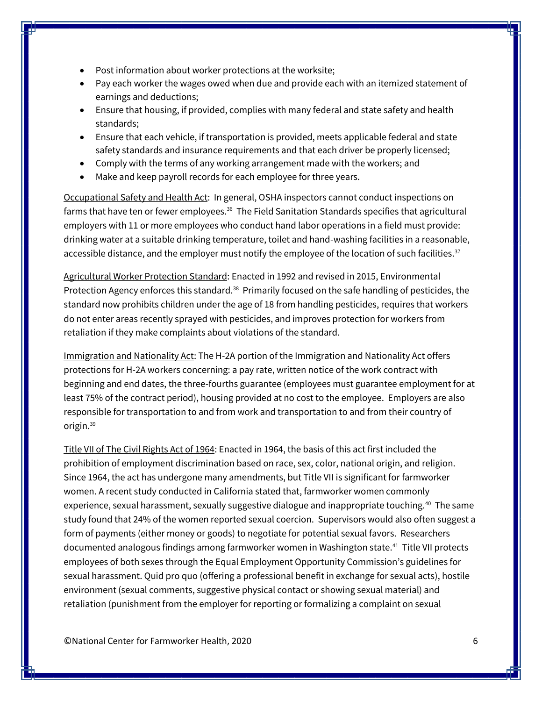- Post information about worker protections at the worksite;
- Pay each worker the wages owed when due and provide each with an itemized statement of earnings and deductions;
- Ensure that housing, if provided, complies with many federal and state safety and health standards;
- Ensure that each vehicle, if transportation is provided, meets applicable federal and state safety standards and insurance requirements and that each driver be properly licensed;
- Comply with the terms of any working arrangement made with the workers; and
- Make and keep payroll records for each employee for three years.

Occupational Safety and Health Act: In general, OSHA inspectors cannot conduct inspections on farms that have ten or fewer employees.<sup>36</sup> The Field Sanitation Standards specifies that agricultural employers with 11 or more employees who conduct hand labor operations in a field must provide: drinking water at a suitable drinking temperature, toilet and hand-washing facilities in a reasonable, accessible distance, and the employer must notify the employee of the location of such facilities.<sup>37</sup>

Agricultural Worker Protection Standard: Enacted in 1992 and revised in 2015, Environmental Protection Agency enforces this standard.<sup>38</sup> Primarily focused on the safe handling of pesticides, the standard now prohibits children under the age of 18 from handling pesticides, requires that workers do not enter areas recently sprayed with pesticides, and improves protection for workers from retaliation if they make complaints about violations of the standard.

Immigration and Nationality Act: The H-2A portion of the Immigration and Nationality Act offers protections for H-2A workers concerning: a pay rate, written notice of the work contract with beginning and end dates, the three-fourths guarantee (employees must guarantee employment for at least 75% of the contract period), housing provided at no cost to the employee. Employers are also responsible for transportation to and from work and transportation to and from their country of origin.<sup>39</sup>

Title VII of The Civil Rights Act of 1964: Enacted in 1964, the basis of this act first included the prohibition of employment discrimination based on race, sex, color, national origin, and religion. Since 1964, the act has undergone many amendments, but Title VII is significant for farmworker women. A recent study conducted in California stated that, farmworker women commonly experience, sexual harassment, sexually suggestive dialogue and inappropriate touching.<sup>40</sup> The same study found that 24% of the women reported sexual coercion. Supervisors would also often suggest a form of payments (either money or goods) to negotiate for potential sexual favors. Researchers documented analogous findings among farmworker women in Washington state.<sup>41</sup> Title VII protects employees of both sexes through the Equal Employment Opportunity Commission's guidelines for sexual harassment. Quid pro quo (offering a professional benefit in exchange for sexual acts), hostile environment (sexual comments, suggestive physical contact or showing sexual material) and retaliation (punishment from the employer for reporting or formalizing a complaint on sexual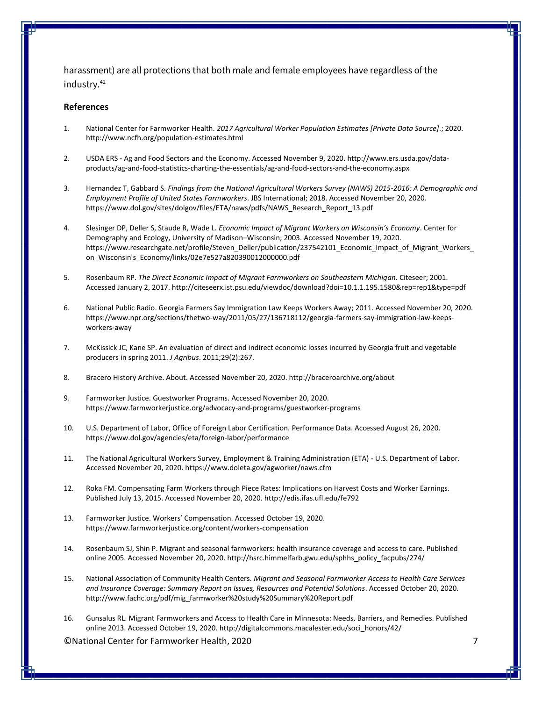harassment) are all protections that both male and female employees have regardless of the industry.<sup>42</sup>

#### **References**

- 1. National Center for Farmworker Health. *2017 Agricultural Worker Population Estimates [Private Data Source]*.; 2020. http://www.ncfh.org/population-estimates.html
- 2. USDA ERS Ag and Food Sectors and the Economy. Accessed November 9, 2020. http://www.ers.usda.gov/dataproducts/ag-and-food-statistics-charting-the-essentials/ag-and-food-sectors-and-the-economy.aspx
- 3. Hernandez T, Gabbard S. *Findings from the National Agricultural Workers Survey (NAWS) 2015-2016: A Demographic and Employment Profile of United States Farmworkers*. JBS International; 2018. Accessed November 20, 2020. https://www.dol.gov/sites/dolgov/files/ETA/naws/pdfs/NAWS\_Research\_Report\_13.pdf
- 4. Slesinger DP, Deller S, Staude R, Wade L. *Economic Impact of Migrant Workers on Wisconsin's Economy*. Center for Demography and Ecology, University of Madison–Wisconsin; 2003. Accessed November 19, 2020. https://www.researchgate.net/profile/Steven\_Deller/publication/237542101\_Economic\_Impact\_of\_Migrant\_Workers\_ on\_Wisconsin's\_Economy/links/02e7e527a820390012000000.pdf
- 5. Rosenbaum RP. *The Direct Economic Impact of Migrant Farmworkers on Southeastern Michigan*. Citeseer; 2001. Accessed January 2, 2017. http://citeseerx.ist.psu.edu/viewdoc/download?doi=10.1.1.195.1580&rep=rep1&type=pdf
- 6. National Public Radio. Georgia Farmers Say Immigration Law Keeps Workers Away; 2011. Accessed November 20, 2020. https://www.npr.org/sections/thetwo-way/2011/05/27/136718112/georgia-farmers-say-immigration-law-keepsworkers-away
- 7. McKissick JC, Kane SP. An evaluation of direct and indirect economic losses incurred by Georgia fruit and vegetable producers in spring 2011. *J Agribus*. 2011;29(2):267.
- 8. Bracero History Archive. About. Accessed November 20, 2020. http://braceroarchive.org/about
- 9. Farmworker Justice. Guestworker Programs. Accessed November 20, 2020. https://www.farmworkerjustice.org/advocacy-and-programs/guestworker-programs
- 10. U.S. Department of Labor, Office of Foreign Labor Certification. Performance Data. Accessed August 26, 2020. https://www.dol.gov/agencies/eta/foreign-labor/performance
- 11. The National Agricultural Workers Survey, Employment & Training Administration (ETA) U.S. Department of Labor. Accessed November 20, 2020. https://www.doleta.gov/agworker/naws.cfm
- 12. Roka FM. Compensating Farm Workers through Piece Rates: Implications on Harvest Costs and Worker Earnings. Published July 13, 2015. Accessed November 20, 2020. http://edis.ifas.ufl.edu/fe792
- 13. Farmworker Justice. Workers' Compensation. Accessed October 19, 2020. https://www.farmworkerjustice.org/content/workers-compensation
- 14. Rosenbaum SJ, Shin P. Migrant and seasonal farmworkers: health insurance coverage and access to care. Published online 2005. Accessed November 20, 2020. http://hsrc.himmelfarb.gwu.edu/sphhs\_policy\_facpubs/274/
- 15. National Association of Community Health Centers. *Migrant and Seasonal Farmworker Access to Health Care Services and Insurance Coverage: Summary Report on Issues, Resources and Potential Solutions*. Accessed October 20, 2020. http://www.fachc.org/pdf/mig\_farmworker%20study%20Summary%20Report.pdf
- 16. Gunsalus RL. Migrant Farmworkers and Access to Health Care in Minnesota: Needs, Barriers, and Remedies. Published online 2013. Accessed October 19, 2020. http://digitalcommons.macalester.edu/soci\_honors/42/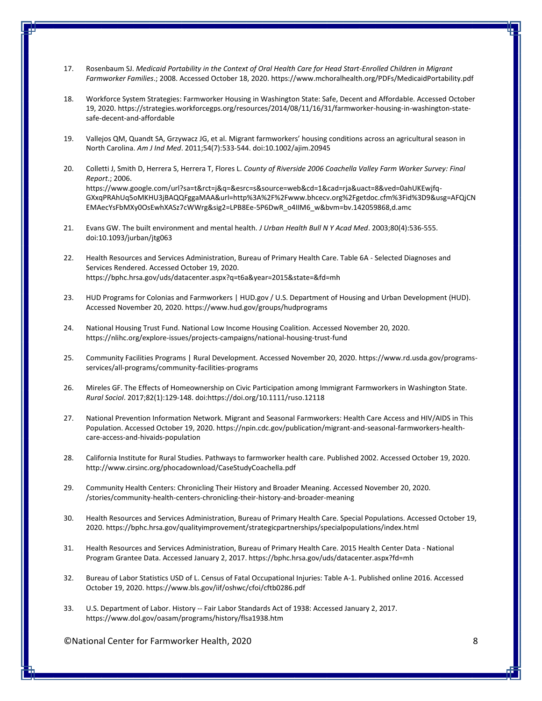- 17. Rosenbaum SJ. *Medicaid Portability in the Context of Oral Health Care for Head Start-Enrolled Children in Migrant Farmworker Families*.; 2008. Accessed October 18, 2020. https://www.mchoralhealth.org/PDFs/MedicaidPortability.pdf
- 18. Workforce System Strategies: Farmworker Housing in Washington State: Safe, Decent and Affordable. Accessed October 19, 2020. https://strategies.workforcegps.org/resources/2014/08/11/16/31/farmworker-housing-in-washington-statesafe-decent-and-affordable
- 19. Vallejos QM, Quandt SA, Grzywacz JG, et al. Migrant farmworkers' housing conditions across an agricultural season in North Carolina. *Am J Ind Med*. 2011;54(7):533-544. doi:10.1002/ajim.20945
- 20. Colletti J, Smith D, Herrera S, Herrera T, Flores L. *County of Riverside 2006 Coachella Valley Farm Worker Survey: Final Report*.; 2006. https://www.google.com/url?sa=t&rct=j&q=&esrc=s&source=web&cd=1&cad=rja&uact=8&ved=0ahUKEwjfq-GXxqPRAhUq5oMKHU3jBAQQFggaMAA&url=http%3A%2F%2Fwww.bhcecv.org%2Fgetdoc.cfm%3Fid%3D9&usg=AFQjCN EMAecYsFbMXy0OsEwhXASz7cWWrg&sig2=LPB8Ee-5P6DwR\_o4IIM6\_w&bvm=bv.142059868,d.amc
- 21. Evans GW. The built environment and mental health. *J Urban Health Bull N Y Acad Med*. 2003;80(4):536-555. doi:10.1093/jurban/jtg063
- 22. Health Resources and Services Administration, Bureau of Primary Health Care. Table 6A Selected Diagnoses and Services Rendered. Accessed October 19, 2020. https://bphc.hrsa.gov/uds/datacenter.aspx?q=t6a&year=2015&state=&fd=mh
- 23. HUD Programs for Colonias and Farmworkers | HUD.gov / U.S. Department of Housing and Urban Development (HUD). Accessed November 20, 2020. https://www.hud.gov/groups/hudprograms
- 24. National Housing Trust Fund. National Low Income Housing Coalition. Accessed November 20, 2020. https://nlihc.org/explore-issues/projects-campaigns/national-housing-trust-fund
- 25. Community Facilities Programs | Rural Development. Accessed November 20, 2020. https://www.rd.usda.gov/programsservices/all-programs/community-facilities-programs
- 26. Mireles GF. The Effects of Homeownership on Civic Participation among Immigrant Farmworkers in Washington State. *Rural Sociol*. 2017;82(1):129-148. doi:https://doi.org/10.1111/ruso.12118
- 27. National Prevention Information Network. Migrant and Seasonal Farmworkers: Health Care Access and HIV/AIDS in This Population. Accessed October 19, 2020. https://npin.cdc.gov/publication/migrant-and-seasonal-farmworkers-healthcare-access-and-hivaids-population
- 28. California Institute for Rural Studies. Pathways to farmworker health care. Published 2002. Accessed October 19, 2020. http://www.cirsinc.org/phocadownload/CaseStudyCoachella.pdf
- 29. Community Health Centers: Chronicling Their History and Broader Meaning. Accessed November 20, 2020. /stories/community-health-centers-chronicling-their-history-and-broader-meaning
- 30. Health Resources and Services Administration, Bureau of Primary Health Care. Special Populations. Accessed October 19, 2020. https://bphc.hrsa.gov/qualityimprovement/strategicpartnerships/specialpopulations/index.html
- 31. Health Resources and Services Administration, Bureau of Primary Health Care. 2015 Health Center Data National Program Grantee Data. Accessed January 2, 2017. https://bphc.hrsa.gov/uds/datacenter.aspx?fd=mh
- 32. Bureau of Labor Statistics USD of L. Census of Fatal Occupational Injuries: Table A-1. Published online 2016. Accessed October 19, 2020. https://www.bls.gov/iif/oshwc/cfoi/cftb0286.pdf
- 33. U.S. Department of Labor. History -- Fair Labor Standards Act of 1938: Accessed January 2, 2017. https://www.dol.gov/oasam/programs/history/flsa1938.htm